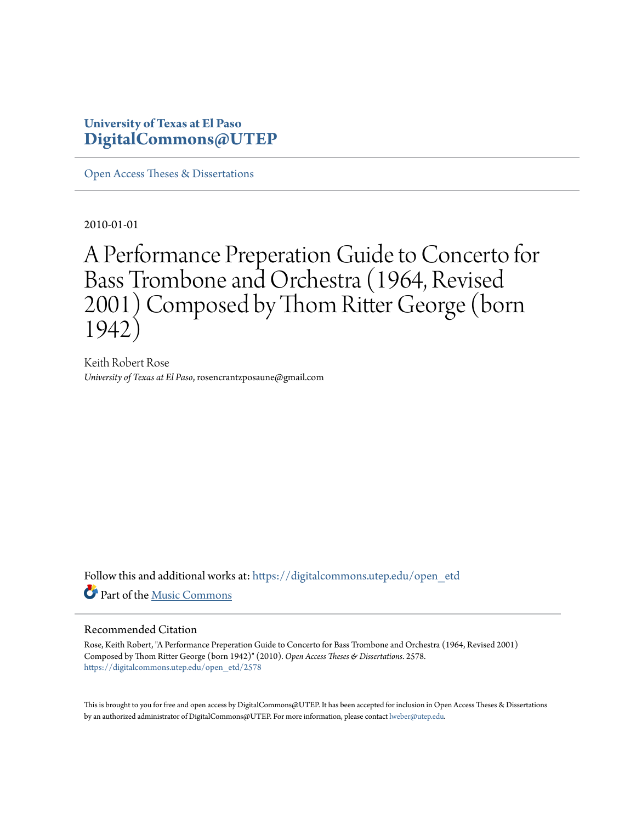# **University of Texas at El Paso [DigitalCommons@UTEP](https://digitalcommons.utep.edu/?utm_source=digitalcommons.utep.edu%2Fopen_etd%2F2578&utm_medium=PDF&utm_campaign=PDFCoverPages)**

[Open Access Theses & Dissertations](https://digitalcommons.utep.edu/open_etd?utm_source=digitalcommons.utep.edu%2Fopen_etd%2F2578&utm_medium=PDF&utm_campaign=PDFCoverPages)

2010-01-01

# A Performance Preperation Guide to Concerto for Bass Trombone and Orchestra (1964, Revised 2001) Composed by Thom Ritter George (born 1942)

Keith Robert Rose *University of Texas at El Paso*, rosencrantzposaune@gmail.com

Follow this and additional works at: [https://digitalcommons.utep.edu/open\\_etd](https://digitalcommons.utep.edu/open_etd?utm_source=digitalcommons.utep.edu%2Fopen_etd%2F2578&utm_medium=PDF&utm_campaign=PDFCoverPages) Part of the [Music Commons](http://network.bepress.com/hgg/discipline/518?utm_source=digitalcommons.utep.edu%2Fopen_etd%2F2578&utm_medium=PDF&utm_campaign=PDFCoverPages)

#### Recommended Citation

Rose, Keith Robert, "A Performance Preperation Guide to Concerto for Bass Trombone and Orchestra (1964, Revised 2001) Composed by Thom Ritter George (born 1942)" (2010). *Open Access Theses & Dissertations*. 2578. [https://digitalcommons.utep.edu/open\\_etd/2578](https://digitalcommons.utep.edu/open_etd/2578?utm_source=digitalcommons.utep.edu%2Fopen_etd%2F2578&utm_medium=PDF&utm_campaign=PDFCoverPages)

This is brought to you for free and open access by DigitalCommons@UTEP. It has been accepted for inclusion in Open Access Theses & Dissertations by an authorized administrator of DigitalCommons@UTEP. For more information, please contact [lweber@utep.edu.](mailto:lweber@utep.edu)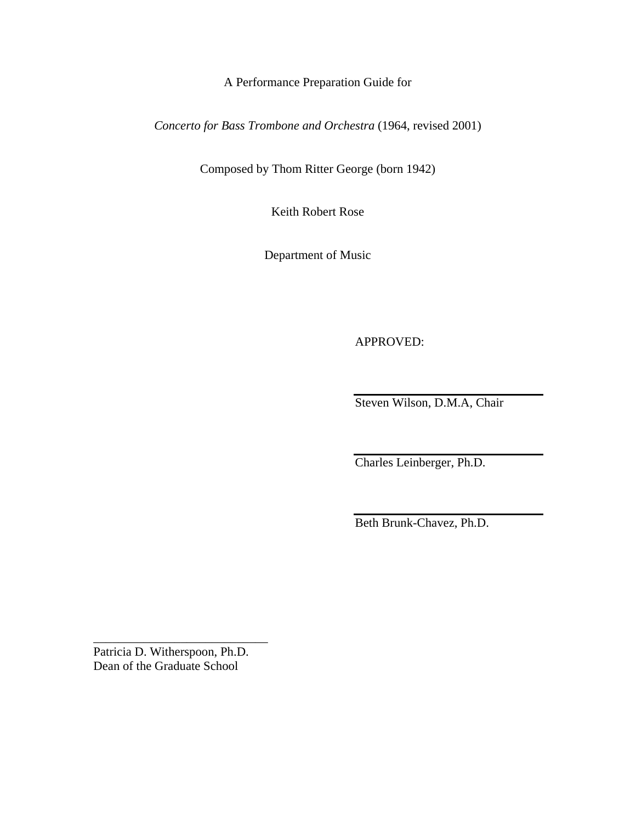A Performance Preparation Guide for

*Concerto for Bass Trombone and Orchestra* (1964, revised 2001)

Composed by Thom Ritter George (born 1942)

Keith Robert Rose

Department of Music

APPROVED:

Steven Wilson, D.M.A, Chair

Charles Leinberger, Ph.D.

Beth Brunk-Chavez, Ph.D.

Patricia D. Witherspoon, Ph.D. Dean of the Graduate School

\_\_\_\_\_\_\_\_\_\_\_\_\_\_\_\_\_\_\_\_\_\_\_\_\_\_\_\_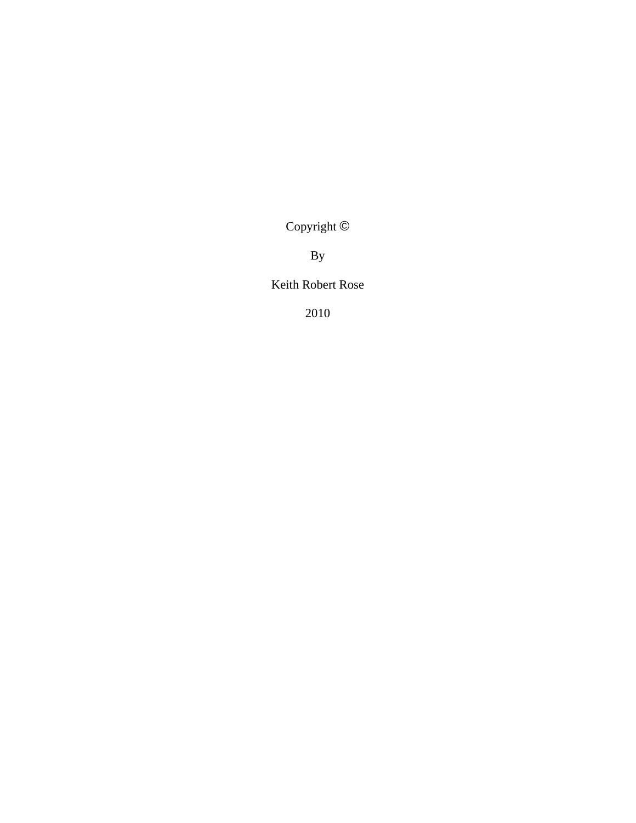Copyright ©

By

Keith Robert Rose

2010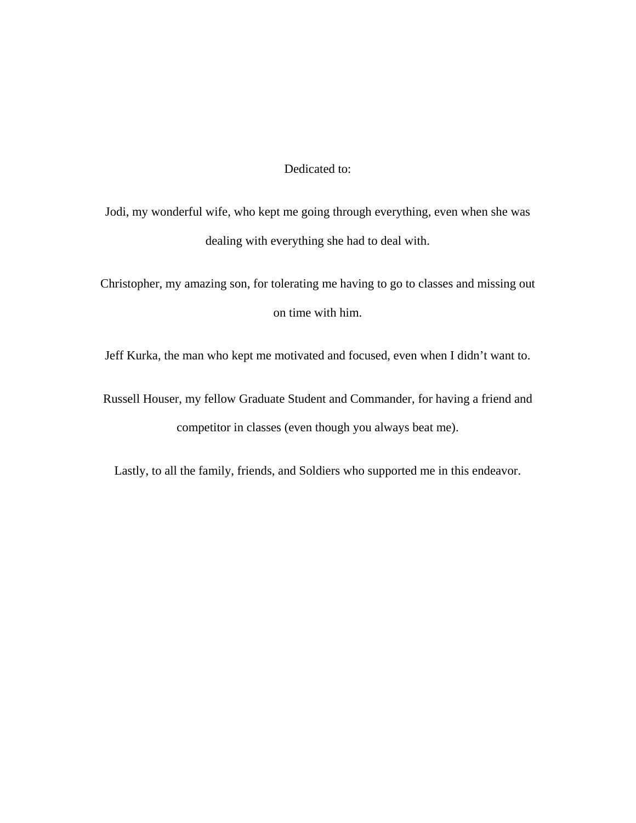### Dedicated to:

Jodi, my wonderful wife, who kept me going through everything, even when she was dealing with everything she had to deal with.

Christopher, my amazing son, for tolerating me having to go to classes and missing out on time with him.

Jeff Kurka, the man who kept me motivated and focused, even when I didn't want to.

Russell Houser, my fellow Graduate Student and Commander, for having a friend and competitor in classes (even though you always beat me).

Lastly, to all the family, friends, and Soldiers who supported me in this endeavor.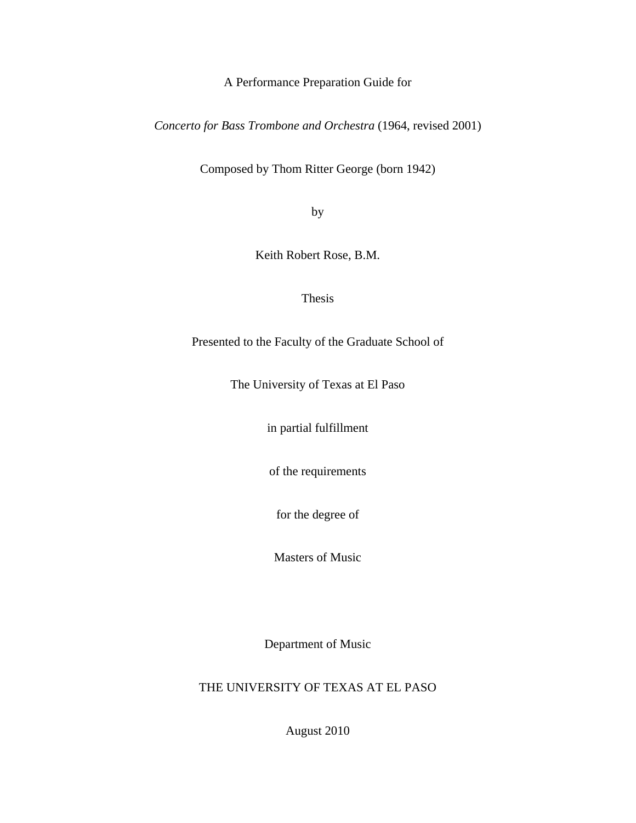### A Performance Preparation Guide for

*Concerto for Bass Trombone and Orchestra* (1964, revised 2001)

Composed by Thom Ritter George (born 1942)

by

Keith Robert Rose, B.M.

Thesis

Presented to the Faculty of the Graduate School of

The University of Texas at El Paso

in partial fulfillment

of the requirements

for the degree of

Masters of Music

Department of Music

THE UNIVERSITY OF TEXAS AT EL PASO

August 2010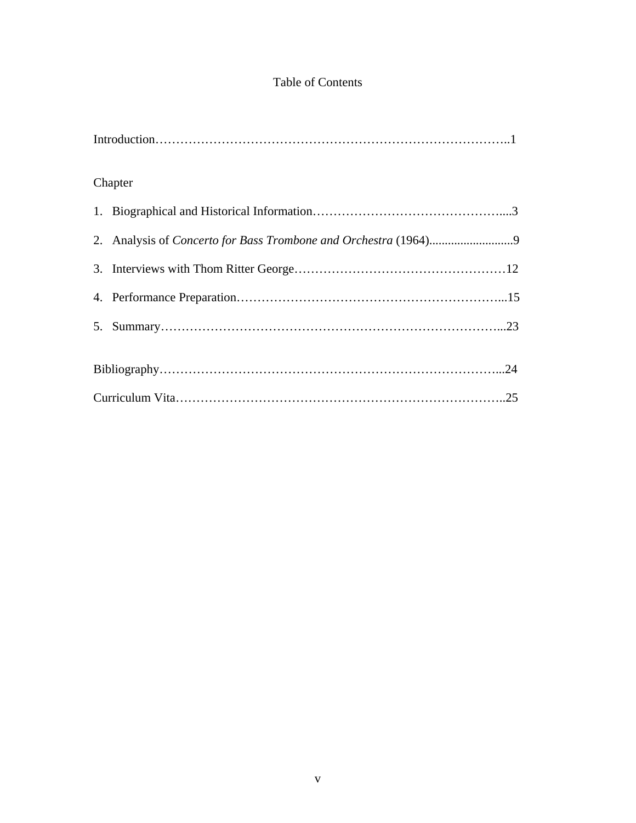# Table of Contents

|--|--|

## Chapter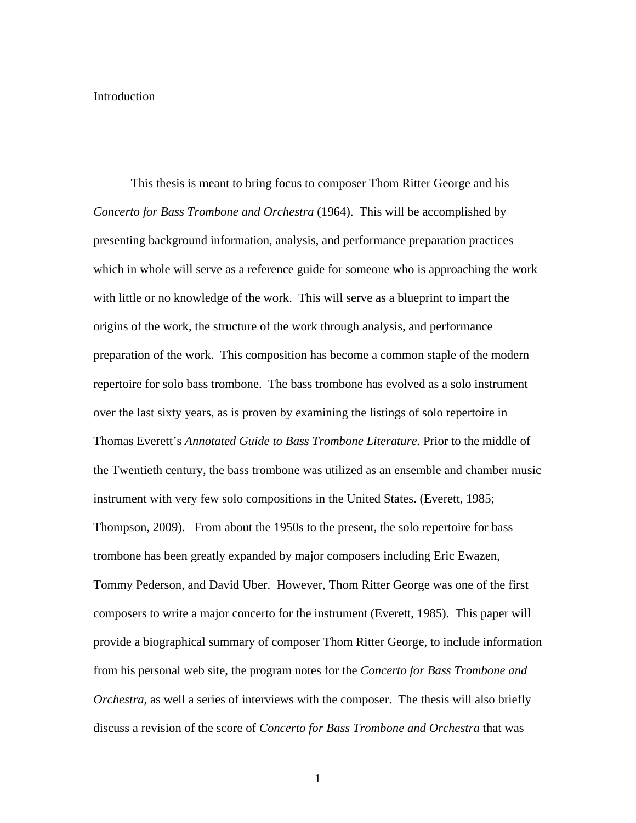### **Introduction**

This thesis is meant to bring focus to composer Thom Ritter George and his *Concerto for Bass Trombone and Orchestra* (1964). This will be accomplished by presenting background information, analysis, and performance preparation practices which in whole will serve as a reference guide for someone who is approaching the work with little or no knowledge of the work. This will serve as a blueprint to impart the origins of the work, the structure of the work through analysis, and performance preparation of the work. This composition has become a common staple of the modern repertoire for solo bass trombone. The bass trombone has evolved as a solo instrument over the last sixty years, as is proven by examining the listings of solo repertoire in Thomas Everett's *Annotated Guide to Bass Trombone Literature.* Prior to the middle of the Twentieth century, the bass trombone was utilized as an ensemble and chamber music instrument with very few solo compositions in the United States. (Everett, 1985; Thompson, 2009). From about the 1950s to the present, the solo repertoire for bass trombone has been greatly expanded by major composers including Eric Ewazen, Tommy Pederson, and David Uber. However, Thom Ritter George was one of the first composers to write a major concerto for the instrument (Everett, 1985). This paper will provide a biographical summary of composer Thom Ritter George, to include information from his personal web site, the program notes for the *Concerto for Bass Trombone and Orchestra*, as well a series of interviews with the composer. The thesis will also briefly discuss a revision of the score of *Concerto for Bass Trombone and Orchestra* that was

1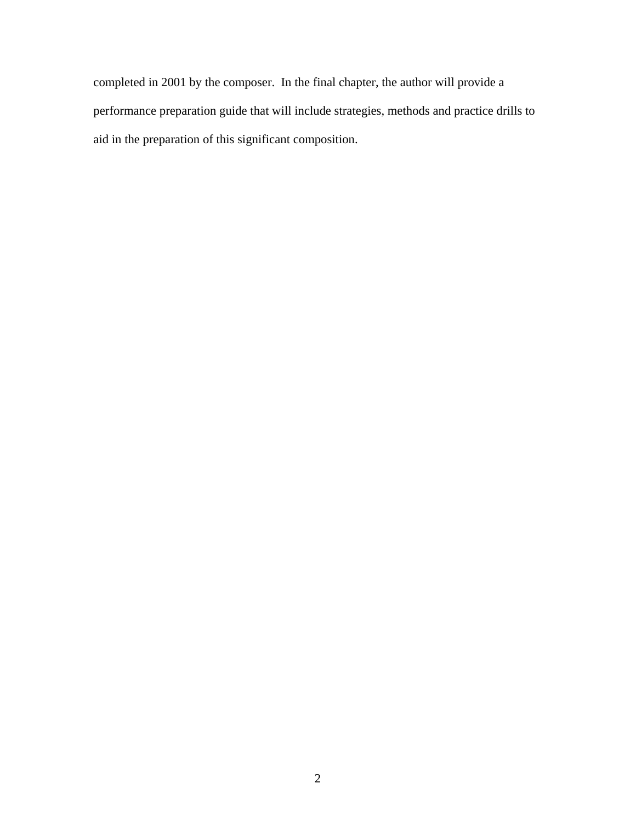completed in 2001 by the composer. In the final chapter, the author will provide a performance preparation guide that will include strategies, methods and practice drills to aid in the preparation of this significant composition.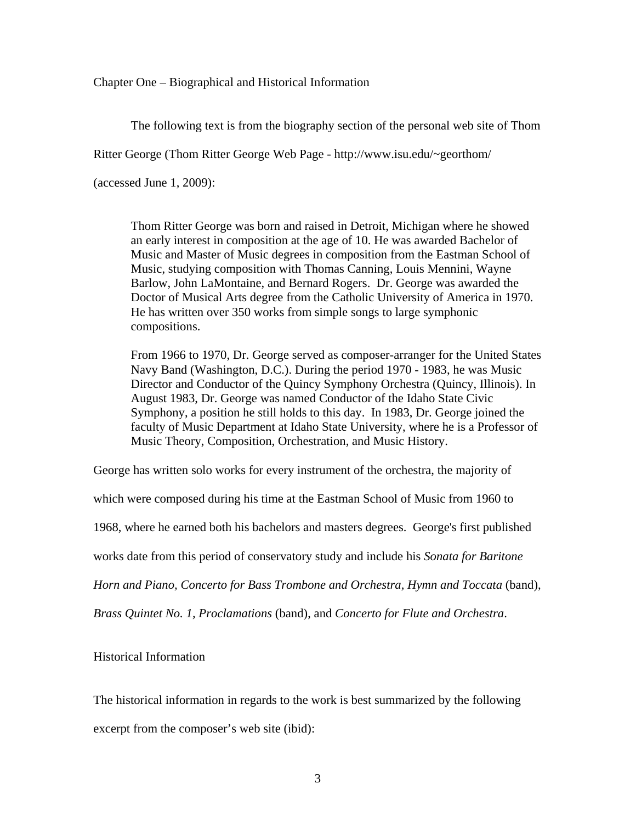Chapter One – Biographical and Historical Information

The following text is from the biography section of the personal web site of Thom

Ritter George (Thom Ritter George Web Page - http://www.isu.edu/~georthom/

(accessed June 1, 2009):

Thom Ritter George was born and raised in Detroit, Michigan where he showed an early interest in composition at the age of 10. He was awarded Bachelor of Music and Master of Music degrees in composition from the Eastman School of Music, studying composition with Thomas Canning, Louis Mennini, Wayne Barlow, John LaMontaine, and Bernard Rogers. Dr. George was awarded the Doctor of Musical Arts degree from the Catholic University of America in 1970. He has written over 350 works from simple songs to large symphonic compositions.

From 1966 to 1970, Dr. George served as composer-arranger for the United States Navy Band (Washington, D.C.). During the period 1970 - 1983, he was Music Director and Conductor of the Quincy Symphony Orchestra (Quincy, Illinois). In August 1983, Dr. George was named Conductor of the Idaho State Civic Symphony, a position he still holds to this day. In 1983, Dr. George joined the faculty of Music Department at Idaho State University, where he is a Professor of Music Theory, Composition, Orchestration, and Music History.

George has written solo works for every instrument of the orchestra, the majority of

which were composed during his time at the Eastman School of Music from 1960 to

1968, where he earned both his bachelors and masters degrees. George's first published

works date from this period of conservatory study and include his *Sonata for Baritone* 

*Horn and Piano, Concerto for Bass Trombone and Orchestra, Hymn and Toccata* (band),

*Brass Quintet No. 1, Proclamations* (band), and *Concerto for Flute and Orchestra*.

Historical Information

The historical information in regards to the work is best summarized by the following excerpt from the composer's web site (ibid):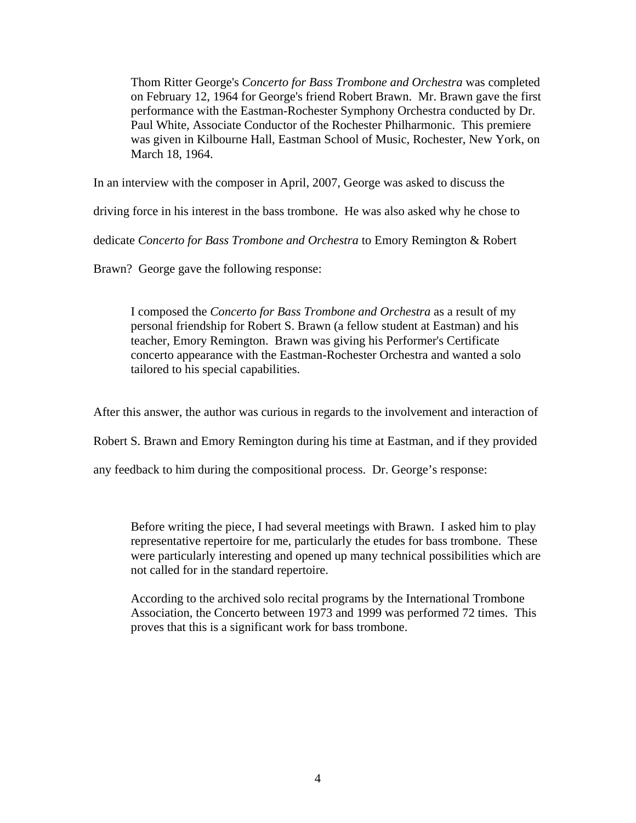Thom Ritter George's *Concerto for Bass Trombone and Orchestra* was completed on February 12, 1964 for George's friend Robert Brawn. Mr. Brawn gave the first performance with the Eastman-Rochester Symphony Orchestra conducted by Dr. Paul White, Associate Conductor of the Rochester Philharmonic. This premiere was given in Kilbourne Hall, Eastman School of Music, Rochester, New York, on March 18, 1964.

In an interview with the composer in April, 2007, George was asked to discuss the

driving force in his interest in the bass trombone. He was also asked why he chose to

dedicate *Concerto for Bass Trombone and Orchestra* to Emory Remington & Robert

Brawn? George gave the following response:

I composed the *Concerto for Bass Trombone and Orchestra* as a result of my personal friendship for Robert S. Brawn (a fellow student at Eastman) and his teacher, Emory Remington. Brawn was giving his Performer's Certificate concerto appearance with the Eastman-Rochester Orchestra and wanted a solo tailored to his special capabilities.

After this answer, the author was curious in regards to the involvement and interaction of

Robert S. Brawn and Emory Remington during his time at Eastman, and if they provided

any feedback to him during the compositional process. Dr. George's response:

Before writing the piece, I had several meetings with Brawn. I asked him to play representative repertoire for me, particularly the etudes for bass trombone. These were particularly interesting and opened up many technical possibilities which are not called for in the standard repertoire.

According to the archived solo recital programs by the International Trombone Association, the Concerto between 1973 and 1999 was performed 72 times. This proves that this is a significant work for bass trombone.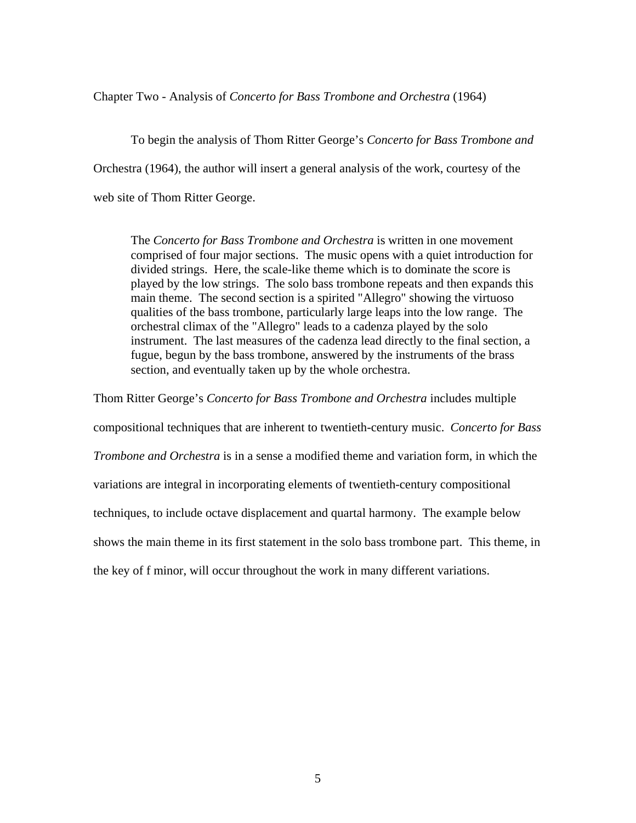Chapter Two - Analysis of *Concerto for Bass Trombone and Orchestra* (1964)

To begin the analysis of Thom Ritter George's *Concerto for Bass Trombone and*  Orchestra (1964), the author will insert a general analysis of the work, courtesy of the web site of Thom Ritter George.

The *Concerto for Bass Trombone and Orchestra* is written in one movement comprised of four major sections. The music opens with a quiet introduction for divided strings. Here, the scale-like theme which is to dominate the score is played by the low strings. The solo bass trombone repeats and then expands this main theme. The second section is a spirited "Allegro" showing the virtuoso qualities of the bass trombone, particularly large leaps into the low range. The orchestral climax of the "Allegro" leads to a cadenza played by the solo instrument. The last measures of the cadenza lead directly to the final section, a fugue, begun by the bass trombone, answered by the instruments of the brass section, and eventually taken up by the whole orchestra.

Thom Ritter George's *Concerto for Bass Trombone and Orchestra* includes multiple

compositional techniques that are inherent to twentieth-century music. *Concerto for Bass Trombone and Orchestra* is in a sense a modified theme and variation form, in which the variations are integral in incorporating elements of twentieth-century compositional techniques, to include octave displacement and quartal harmony. The example below shows the main theme in its first statement in the solo bass trombone part. This theme, in the key of f minor, will occur throughout the work in many different variations.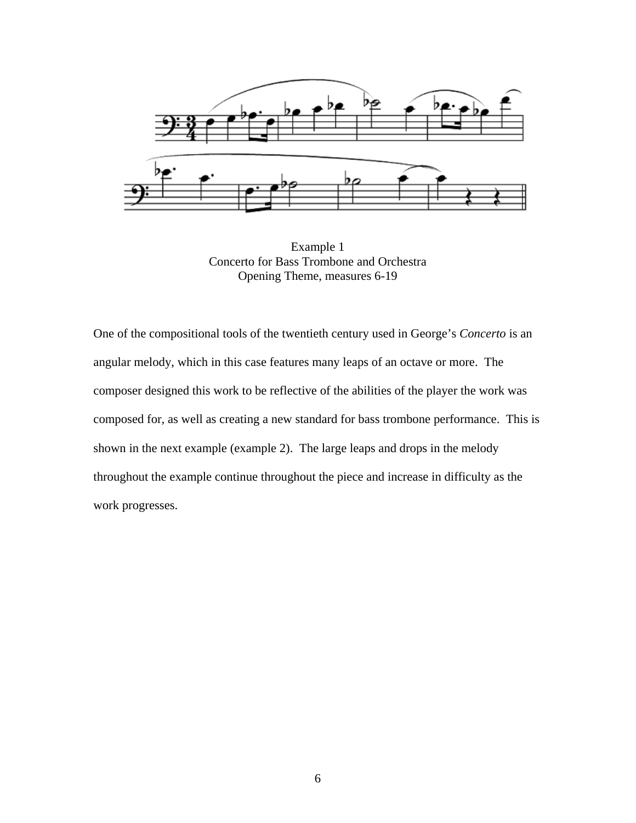

Example 1 Concerto for Bass Trombone and Orchestra Opening Theme, measures 6-19

One of the compositional tools of the twentieth century used in George's *Concerto* is an angular melody, which in this case features many leaps of an octave or more. The composer designed this work to be reflective of the abilities of the player the work was composed for, as well as creating a new standard for bass trombone performance. This is shown in the next example (example 2). The large leaps and drops in the melody throughout the example continue throughout the piece and increase in difficulty as the work progresses.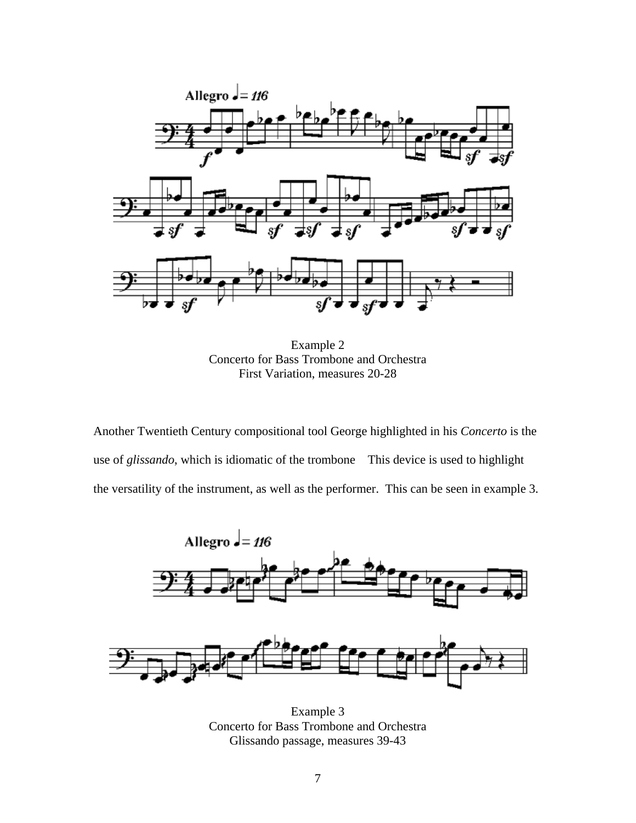

Example 2 Concerto for Bass Trombone and Orchestra First Variation, measures 20-28

Another Twentieth Century compositional tool George highlighted in his *Concerto* is the use of *glissando*, which is idiomatic of the trombone This device is used to highlight the versatility of the instrument, as well as the performer. This can be seen in example 3.



Example 3 Concerto for Bass Trombone and Orchestra Glissando passage, measures 39-43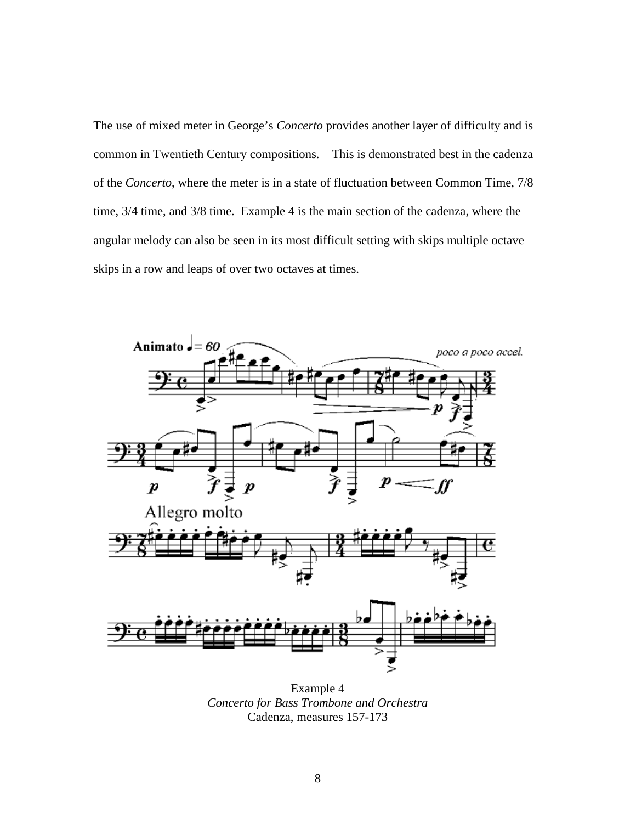The use of mixed meter in George's *Concerto* provides another layer of difficulty and is common in Twentieth Century compositions. This is demonstrated best in the cadenza of the *Concerto*, where the meter is in a state of fluctuation between Common Time, 7/8 time, 3/4 time, and 3/8 time. Example 4 is the main section of the cadenza, where the angular melody can also be seen in its most difficult setting with skips multiple octave skips in a row and leaps of over two octaves at times.



Example 4 *Concerto for Bass Trombone and Orchestra*  Cadenza, measures 157-173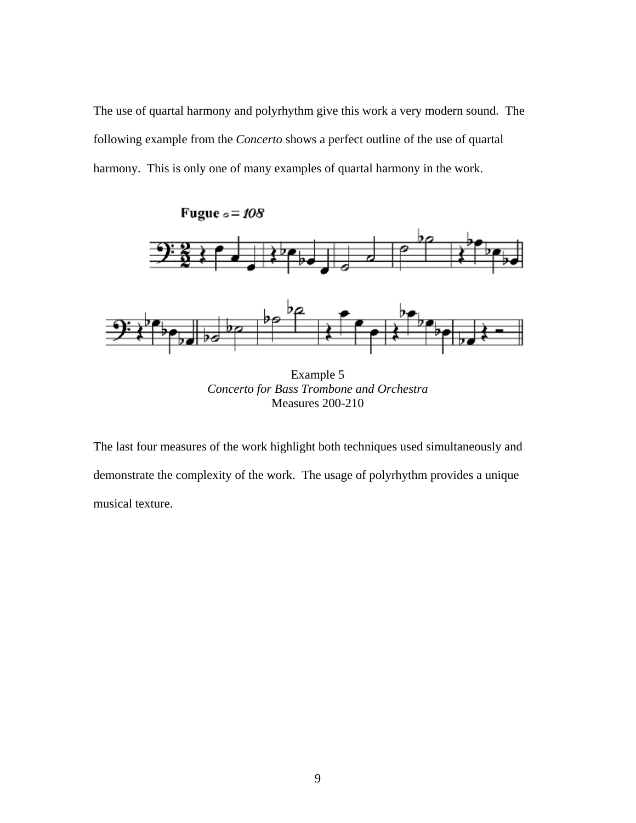The use of quartal harmony and polyrhythm give this work a very modern sound. The following example from the *Concerto* shows a perfect outline of the use of quartal harmony. This is only one of many examples of quartal harmony in the work.



*Concerto for Bass Trombone and Orchestra* Measures 200-210

The last four measures of the work highlight both techniques used simultaneously and demonstrate the complexity of the work. The usage of polyrhythm provides a unique musical texture.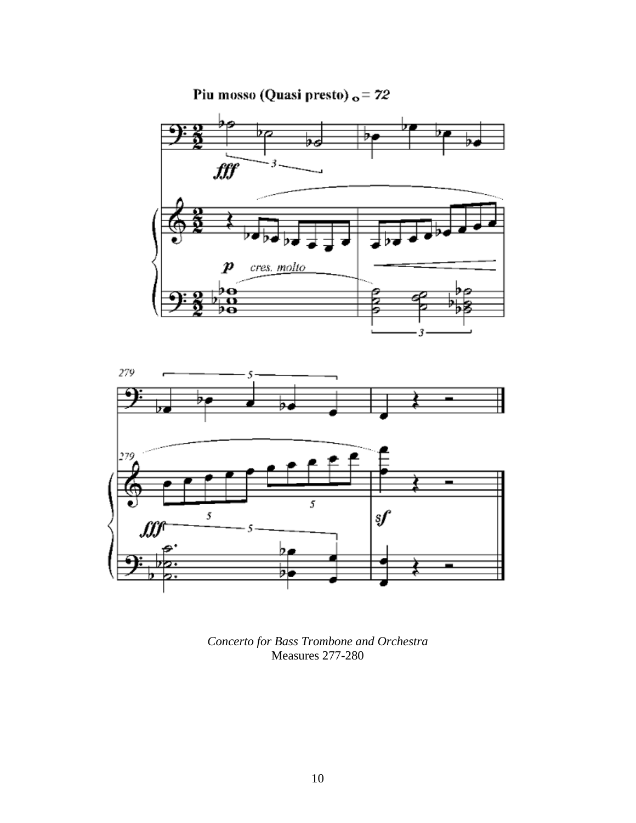



*Concerto for Bass Trombone and Orchestra* Measures 277-280

# Piu mosso (Quasi presto)  $o = 72$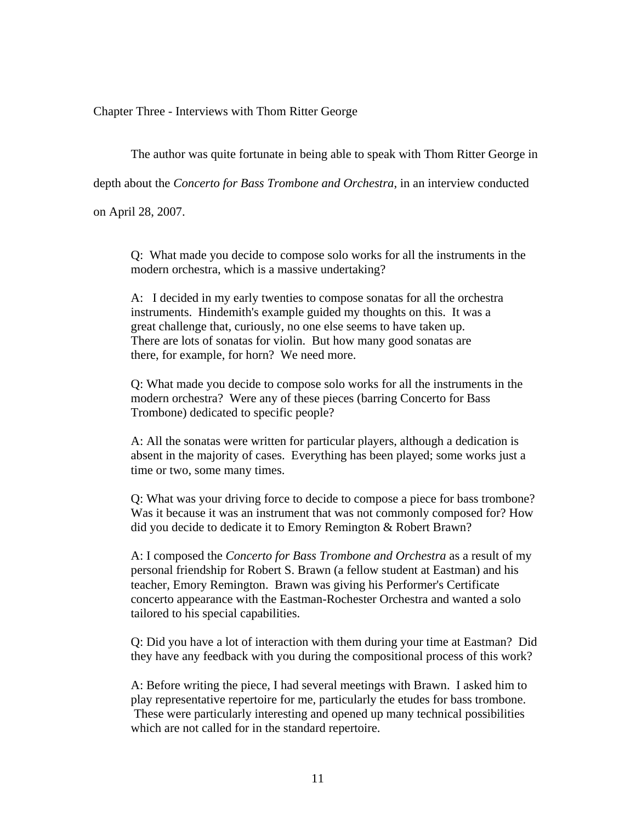Chapter Three - Interviews with Thom Ritter George

The author was quite fortunate in being able to speak with Thom Ritter George in

depth about the *Concerto for Bass Trombone and Orchestra*, in an interview conducted

on April 28, 2007.

Q: What made you decide to compose solo works for all the instruments in the modern orchestra, which is a massive undertaking?

A: I decided in my early twenties to compose sonatas for all the orchestra instruments. Hindemith's example guided my thoughts on this. It was a great challenge that, curiously, no one else seems to have taken up. There are lots of sonatas for violin. But how many good sonatas are there, for example, for horn? We need more.

Q: What made you decide to compose solo works for all the instruments in the modern orchestra? Were any of these pieces (barring Concerto for Bass Trombone) dedicated to specific people?

A: All the sonatas were written for particular players, although a dedication is absent in the majority of cases. Everything has been played; some works just a time or two, some many times.

Q: What was your driving force to decide to compose a piece for bass trombone? Was it because it was an instrument that was not commonly composed for? How did you decide to dedicate it to Emory Remington & Robert Brawn?

A: I composed the *Concerto for Bass Trombone and Orchestra* as a result of my personal friendship for Robert S. Brawn (a fellow student at Eastman) and his teacher, Emory Remington. Brawn was giving his Performer's Certificate concerto appearance with the Eastman-Rochester Orchestra and wanted a solo tailored to his special capabilities.

Q: Did you have a lot of interaction with them during your time at Eastman? Did they have any feedback with you during the compositional process of this work?

A: Before writing the piece, I had several meetings with Brawn. I asked him to play representative repertoire for me, particularly the etudes for bass trombone. These were particularly interesting and opened up many technical possibilities which are not called for in the standard repertoire.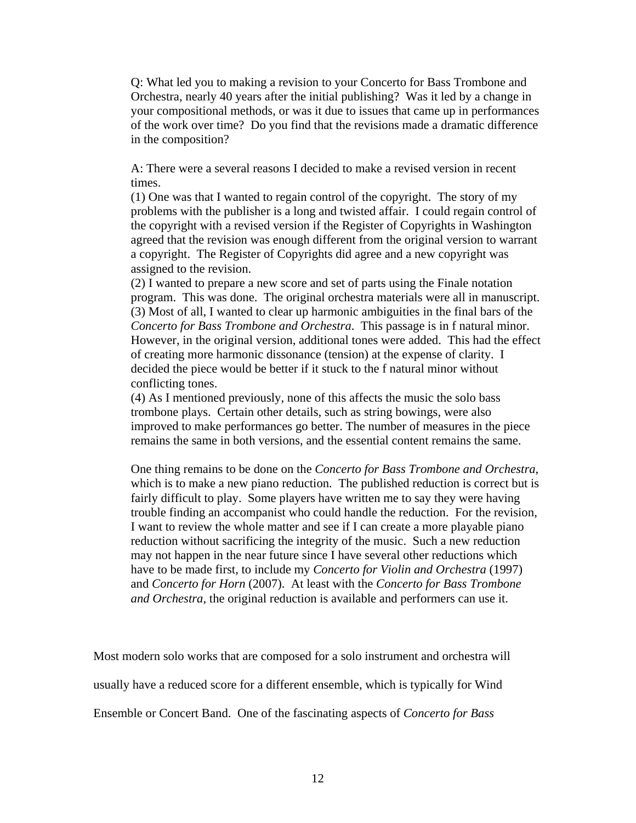Q: What led you to making a revision to your Concerto for Bass Trombone and Orchestra, nearly 40 years after the initial publishing? Was it led by a change in your compositional methods, or was it due to issues that came up in performances of the work over time? Do you find that the revisions made a dramatic difference in the composition?

A: There were a several reasons I decided to make a revised version in recent times.

(1) One was that I wanted to regain control of the copyright. The story of my problems with the publisher is a long and twisted affair. I could regain control of the copyright with a revised version if the Register of Copyrights in Washington agreed that the revision was enough different from the original version to warrant a copyright. The Register of Copyrights did agree and a new copyright was assigned to the revision.

(2) I wanted to prepare a new score and set of parts using the Finale notation program. This was done. The original orchestra materials were all in manuscript. (3) Most of all, I wanted to clear up harmonic ambiguities in the final bars of the *Concerto for Bass Trombone and Orchestra*. This passage is in f natural minor. However, in the original version, additional tones were added. This had the effect of creating more harmonic dissonance (tension) at the expense of clarity. I decided the piece would be better if it stuck to the f natural minor without conflicting tones.

(4) As I mentioned previously, none of this affects the music the solo bass trombone plays. Certain other details, such as string bowings, were also improved to make performances go better. The number of measures in the piece remains the same in both versions, and the essential content remains the same.

One thing remains to be done on the *Concerto for Bass Trombone and Orchestra*, which is to make a new piano reduction. The published reduction is correct but is fairly difficult to play. Some players have written me to say they were having trouble finding an accompanist who could handle the reduction. For the revision, I want to review the whole matter and see if I can create a more playable piano reduction without sacrificing the integrity of the music. Such a new reduction may not happen in the near future since I have several other reductions which have to be made first, to include my *Concerto for Violin and Orchestra* (1997) and *Concerto for Horn* (2007). At least with the *Concerto for Bass Trombone and Orchestra*, the original reduction is available and performers can use it.

Most modern solo works that are composed for a solo instrument and orchestra will usually have a reduced score for a different ensemble, which is typically for Wind

Ensemble or Concert Band. One of the fascinating aspects of *Concerto for Bass*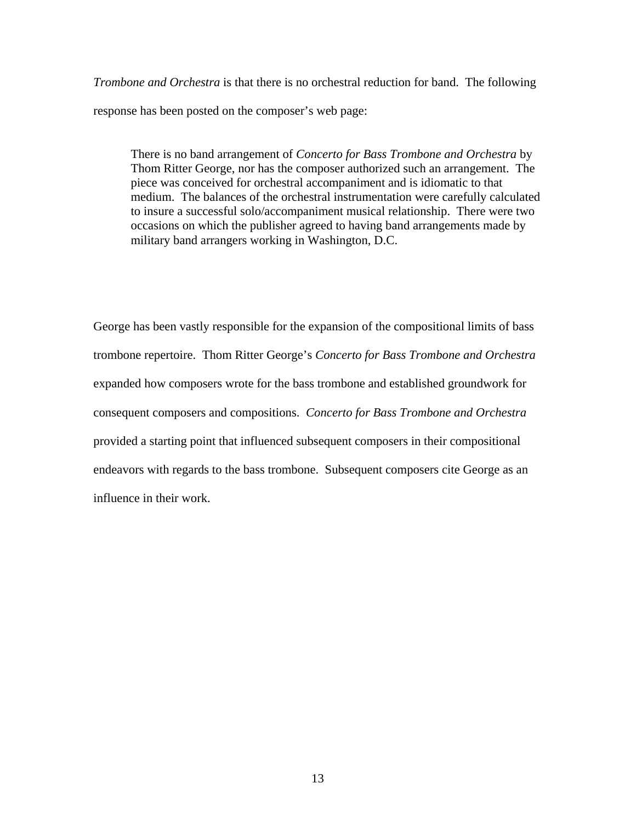*Trombone and Orchestra* is that there is no orchestral reduction for band. The following response has been posted on the composer's web page:

There is no band arrangement of *Concerto for Bass Trombone and Orchestra* by Thom Ritter George, nor has the composer authorized such an arrangement. The piece was conceived for orchestral accompaniment and is idiomatic to that medium. The balances of the orchestral instrumentation were carefully calculated to insure a successful solo/accompaniment musical relationship. There were two occasions on which the publisher agreed to having band arrangements made by military band arrangers working in Washington, D.C.

George has been vastly responsible for the expansion of the compositional limits of bass trombone repertoire. Thom Ritter George's *Concerto for Bass Trombone and Orchestra* expanded how composers wrote for the bass trombone and established groundwork for consequent composers and compositions. *Concerto for Bass Trombone and Orchestra* provided a starting point that influenced subsequent composers in their compositional endeavors with regards to the bass trombone. Subsequent composers cite George as an influence in their work.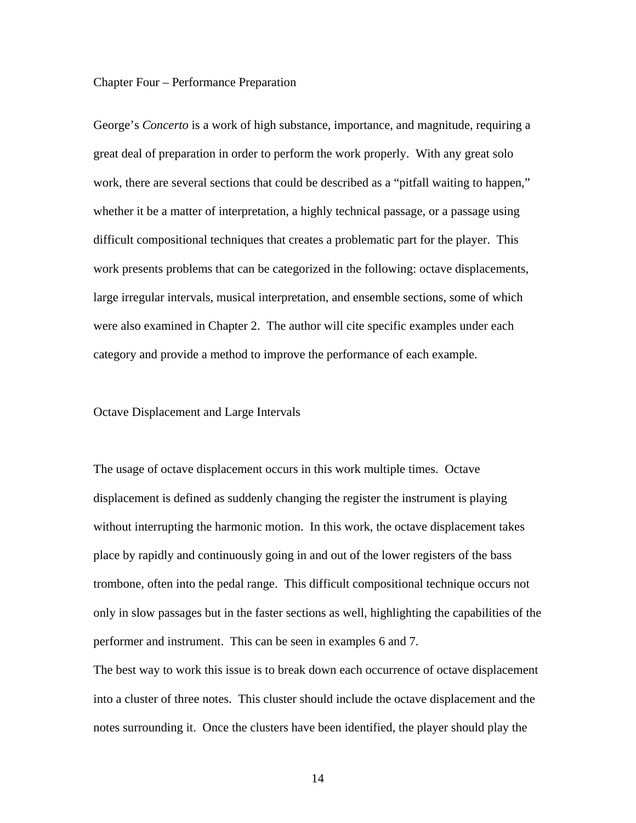### Chapter Four – Performance Preparation

George's *Concerto* is a work of high substance, importance, and magnitude, requiring a great deal of preparation in order to perform the work properly. With any great solo work, there are several sections that could be described as a "pitfall waiting to happen," whether it be a matter of interpretation, a highly technical passage, or a passage using difficult compositional techniques that creates a problematic part for the player. This work presents problems that can be categorized in the following: octave displacements, large irregular intervals, musical interpretation, and ensemble sections, some of which were also examined in Chapter 2. The author will cite specific examples under each category and provide a method to improve the performance of each example.

### Octave Displacement and Large Intervals

The usage of octave displacement occurs in this work multiple times. Octave displacement is defined as suddenly changing the register the instrument is playing without interrupting the harmonic motion. In this work, the octave displacement takes place by rapidly and continuously going in and out of the lower registers of the bass trombone, often into the pedal range. This difficult compositional technique occurs not only in slow passages but in the faster sections as well, highlighting the capabilities of the performer and instrument. This can be seen in examples 6 and 7.

The best way to work this issue is to break down each occurrence of octave displacement into a cluster of three notes. This cluster should include the octave displacement and the notes surrounding it. Once the clusters have been identified, the player should play the

14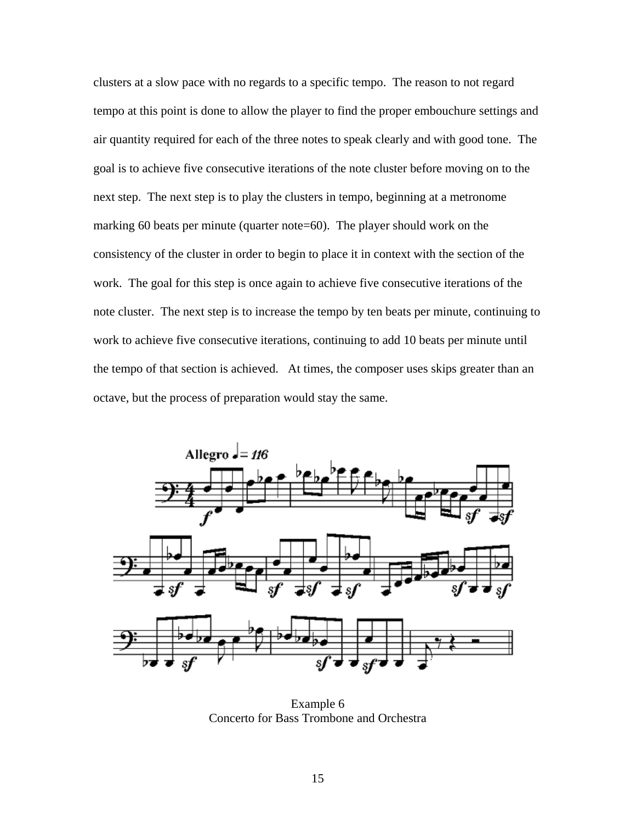clusters at a slow pace with no regards to a specific tempo. The reason to not regard tempo at this point is done to allow the player to find the proper embouchure settings and air quantity required for each of the three notes to speak clearly and with good tone. The goal is to achieve five consecutive iterations of the note cluster before moving on to the next step. The next step is to play the clusters in tempo, beginning at a metronome marking 60 beats per minute (quarter note=60). The player should work on the consistency of the cluster in order to begin to place it in context with the section of the work. The goal for this step is once again to achieve five consecutive iterations of the note cluster. The next step is to increase the tempo by ten beats per minute, continuing to work to achieve five consecutive iterations, continuing to add 10 beats per minute until the tempo of that section is achieved. At times, the composer uses skips greater than an octave, but the process of preparation would stay the same.



Example 6 Concerto for Bass Trombone and Orchestra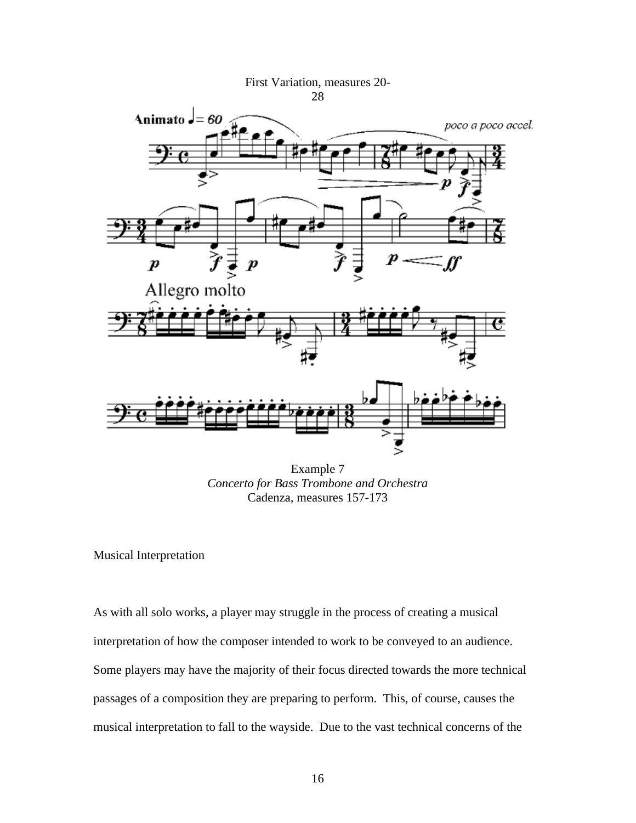

Example 7 *Concerto for Bass Trombone and Orchestra*  Cadenza, measures 157-173

### Musical Interpretation

As with all solo works, a player may struggle in the process of creating a musical interpretation of how the composer intended to work to be conveyed to an audience. Some players may have the majority of their focus directed towards the more technical passages of a composition they are preparing to perform. This, of course, causes the musical interpretation to fall to the wayside. Due to the vast technical concerns of the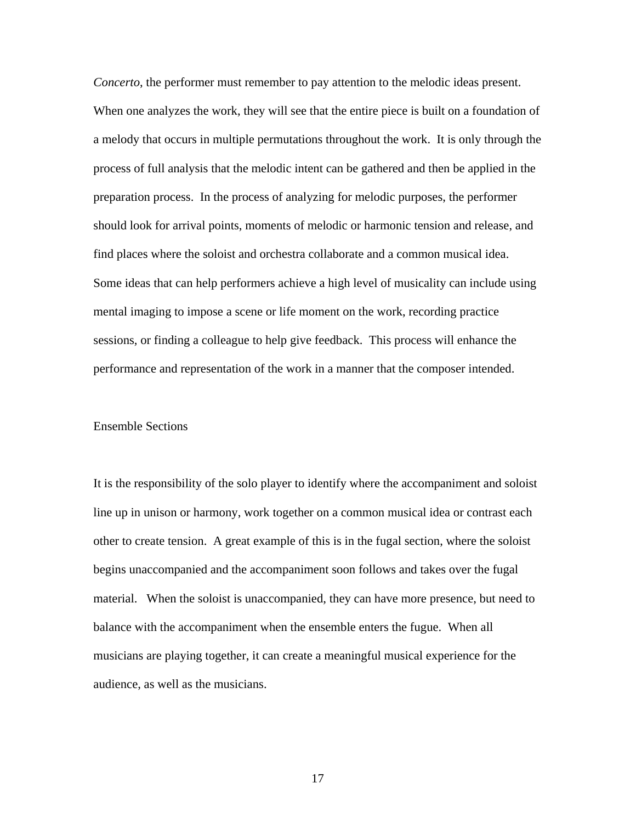*Concerto*, the performer must remember to pay attention to the melodic ideas present. When one analyzes the work, they will see that the entire piece is built on a foundation of a melody that occurs in multiple permutations throughout the work. It is only through the process of full analysis that the melodic intent can be gathered and then be applied in the preparation process. In the process of analyzing for melodic purposes, the performer should look for arrival points, moments of melodic or harmonic tension and release, and find places where the soloist and orchestra collaborate and a common musical idea. Some ideas that can help performers achieve a high level of musicality can include using mental imaging to impose a scene or life moment on the work, recording practice sessions, or finding a colleague to help give feedback. This process will enhance the performance and representation of the work in a manner that the composer intended.

### Ensemble Sections

It is the responsibility of the solo player to identify where the accompaniment and soloist line up in unison or harmony, work together on a common musical idea or contrast each other to create tension. A great example of this is in the fugal section, where the soloist begins unaccompanied and the accompaniment soon follows and takes over the fugal material. When the soloist is unaccompanied, they can have more presence, but need to balance with the accompaniment when the ensemble enters the fugue. When all musicians are playing together, it can create a meaningful musical experience for the audience, as well as the musicians.

17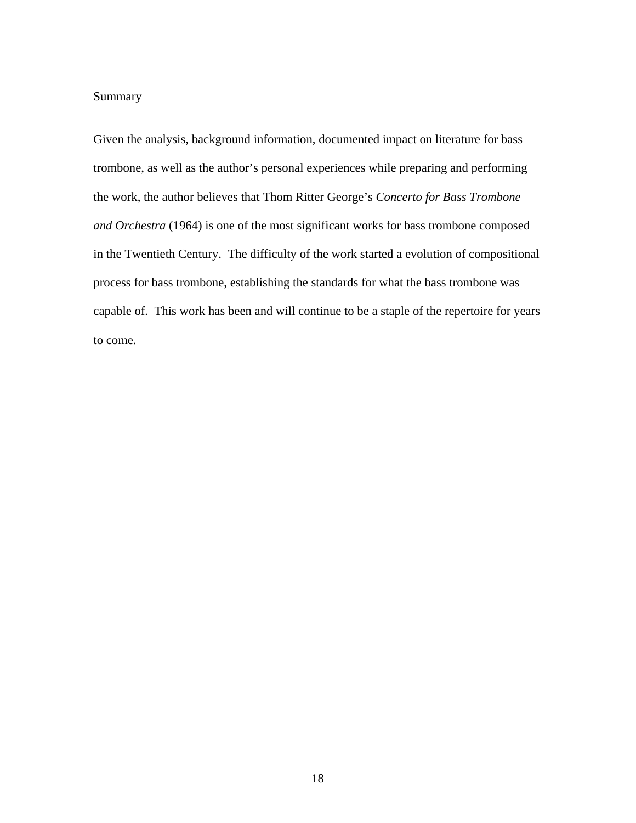### Summary

Given the analysis, background information, documented impact on literature for bass trombone, as well as the author's personal experiences while preparing and performing the work, the author believes that Thom Ritter George's *Concerto for Bass Trombone and Orchestra* (1964) is one of the most significant works for bass trombone composed in the Twentieth Century. The difficulty of the work started a evolution of compositional process for bass trombone, establishing the standards for what the bass trombone was capable of. This work has been and will continue to be a staple of the repertoire for years to come.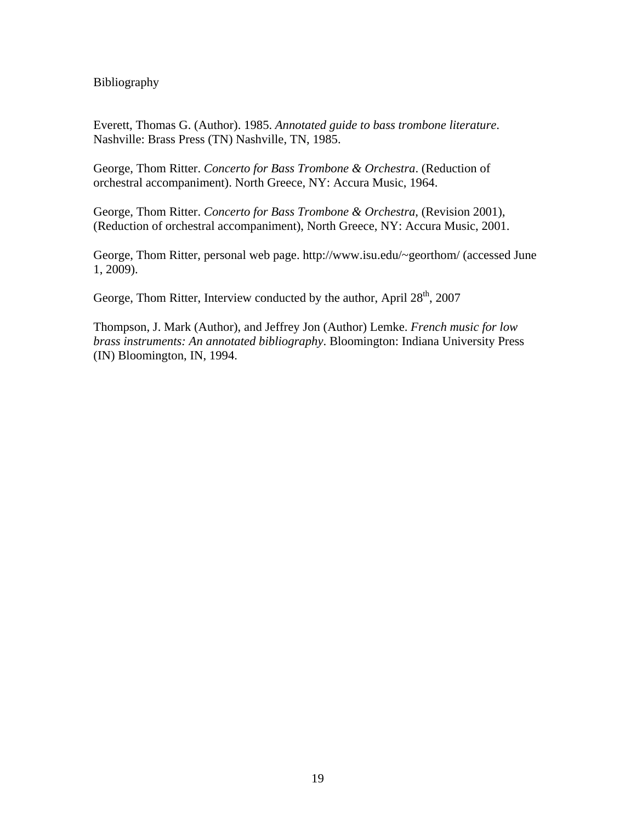Bibliography

Everett, Thomas G. (Author). 1985. *Annotated guide to bass trombone literature*. Nashville: Brass Press (TN) Nashville, TN, 1985.

George, Thom Ritter. *Concerto for Bass Trombone & Orchestra*. (Reduction of orchestral accompaniment). North Greece, NY: Accura Music, 1964.

George, Thom Ritter. *Concerto for Bass Trombone & Orchestra*, (Revision 2001), (Reduction of orchestral accompaniment), North Greece, NY: Accura Music, 2001.

George, Thom Ritter, personal web page. http://www.isu.edu/~georthom/ (accessed June 1, 2009).

George, Thom Ritter, Interview conducted by the author, April  $28<sup>th</sup>$ , 2007

Thompson, J. Mark (Author), and Jeffrey Jon (Author) Lemke. *French music for low brass instruments: An annotated bibliography*. Bloomington: Indiana University Press (IN) Bloomington, IN, 1994.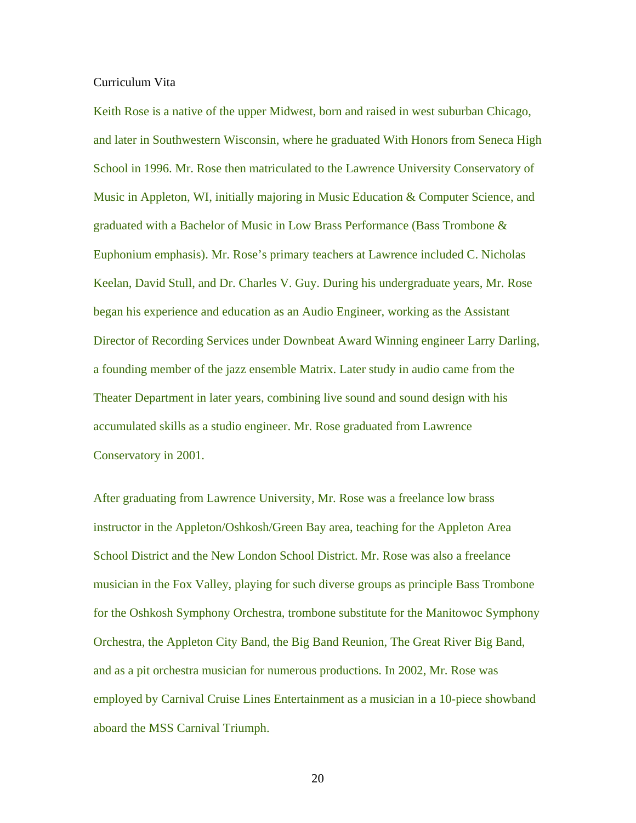### Curriculum Vita

Keith Rose is a native of the upper Midwest, born and raised in west suburban Chicago, and later in Southwestern Wisconsin, where he graduated With Honors from Seneca High School in 1996. Mr. Rose then matriculated to the Lawrence University Conservatory of Music in Appleton, WI, initially majoring in Music Education & Computer Science, and graduated with a Bachelor of Music in Low Brass Performance (Bass Trombone & Euphonium emphasis). Mr. Rose's primary teachers at Lawrence included C. Nicholas Keelan, David Stull, and Dr. Charles V. Guy. During his undergraduate years, Mr. Rose began his experience and education as an Audio Engineer, working as the Assistant Director of Recording Services under Downbeat Award Winning engineer Larry Darling, a founding member of the jazz ensemble Matrix. Later study in audio came from the Theater Department in later years, combining live sound and sound design with his accumulated skills as a studio engineer. Mr. Rose graduated from Lawrence Conservatory in 2001.

After graduating from Lawrence University, Mr. Rose was a freelance low brass instructor in the Appleton/Oshkosh/Green Bay area, teaching for the Appleton Area School District and the New London School District. Mr. Rose was also a freelance musician in the Fox Valley, playing for such diverse groups as principle Bass Trombone for the Oshkosh Symphony Orchestra, trombone substitute for the Manitowoc Symphony Orchestra, the Appleton City Band, the Big Band Reunion, The Great River Big Band, and as a pit orchestra musician for numerous productions. In 2002, Mr. Rose was employed by Carnival Cruise Lines Entertainment as a musician in a 10-piece showband aboard the MSS Carnival Triumph.